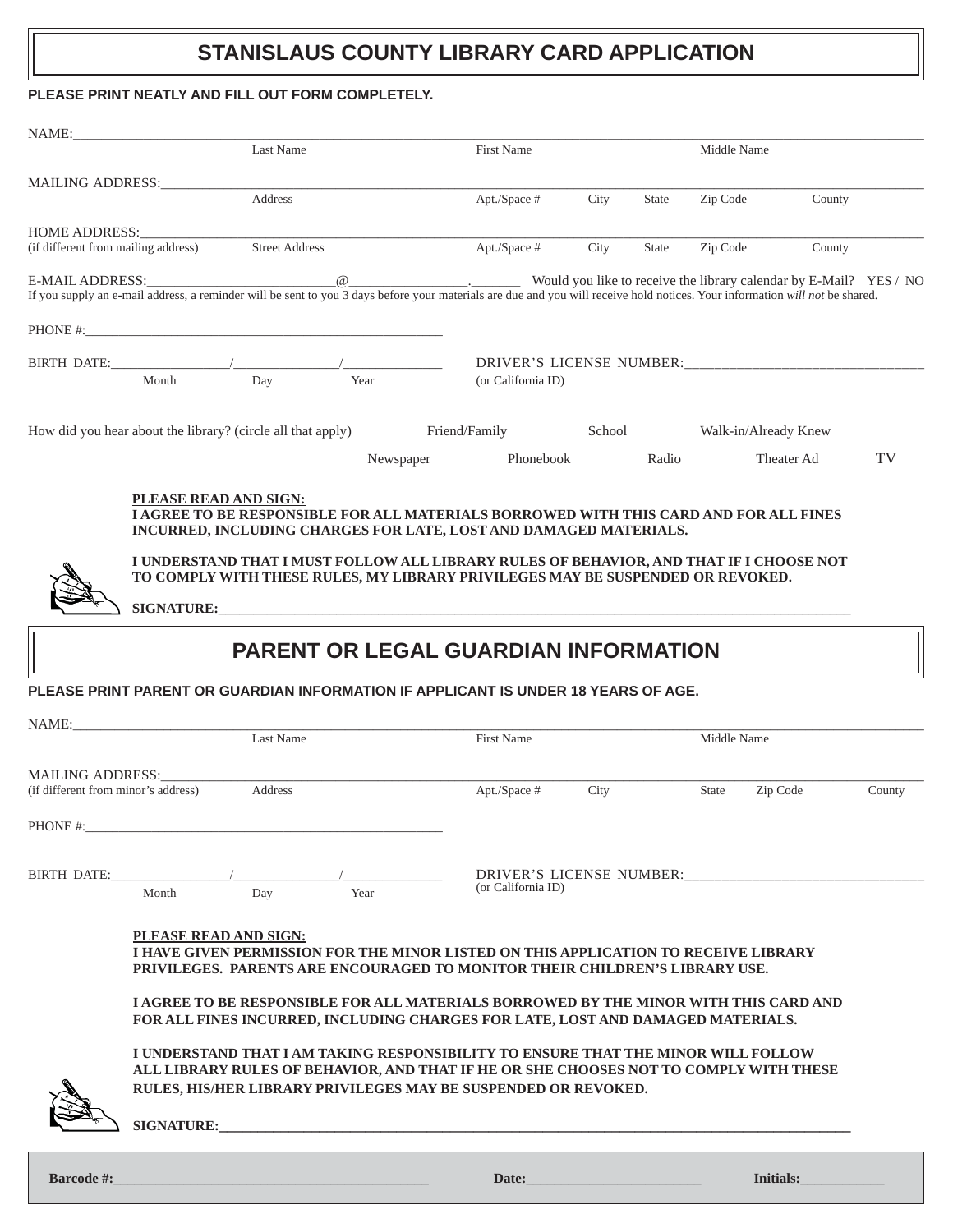## **STANISLAUS COUNTY LIBRARY CARD APPLICATION**

#### **PLEASE PRINT NEATLY AND FILL OUT FORM COMPLETELY.**

| NAME:                               |                                                                                                                                                                                                                                     |                       |  |                    |                                                                                                                                                                                                                                                                                                                                                                                                                                                                                                                                                                                                                                                                                                                                                                                                                                        |      |        |                      |            |        |
|-------------------------------------|-------------------------------------------------------------------------------------------------------------------------------------------------------------------------------------------------------------------------------------|-----------------------|--|--------------------|----------------------------------------------------------------------------------------------------------------------------------------------------------------------------------------------------------------------------------------------------------------------------------------------------------------------------------------------------------------------------------------------------------------------------------------------------------------------------------------------------------------------------------------------------------------------------------------------------------------------------------------------------------------------------------------------------------------------------------------------------------------------------------------------------------------------------------------|------|--------|----------------------|------------|--------|
|                                     |                                                                                                                                                                                                                                     | Last Name             |  |                    | First Name                                                                                                                                                                                                                                                                                                                                                                                                                                                                                                                                                                                                                                                                                                                                                                                                                             |      |        | Middle Name          |            |        |
|                                     | MAILING ADDRESS:                                                                                                                                                                                                                    |                       |  |                    |                                                                                                                                                                                                                                                                                                                                                                                                                                                                                                                                                                                                                                                                                                                                                                                                                                        |      |        |                      |            |        |
|                                     |                                                                                                                                                                                                                                     | Address               |  |                    | Apt./Space #                                                                                                                                                                                                                                                                                                                                                                                                                                                                                                                                                                                                                                                                                                                                                                                                                           | City | State  | Zip Code             | County     |        |
| <b>HOME ADDRESS:</b>                |                                                                                                                                                                                                                                     |                       |  |                    |                                                                                                                                                                                                                                                                                                                                                                                                                                                                                                                                                                                                                                                                                                                                                                                                                                        |      |        |                      |            |        |
| (if different from mailing address) |                                                                                                                                                                                                                                     | <b>Street Address</b> |  |                    | Apt./Space #                                                                                                                                                                                                                                                                                                                                                                                                                                                                                                                                                                                                                                                                                                                                                                                                                           | City | State  | Zip Code             | County     |        |
|                                     |                                                                                                                                                                                                                                     |                       |  |                    | E-MAIL ADDRESS:<br>If you supply an e-mail address, a reminder will be sent to you 3 days before your materials are due and you will receive hold notices. Your information will not be shared.                                                                                                                                                                                                                                                                                                                                                                                                                                                                                                                                                                                                                                        |      |        |                      |            |        |
|                                     |                                                                                                                                                                                                                                     |                       |  |                    |                                                                                                                                                                                                                                                                                                                                                                                                                                                                                                                                                                                                                                                                                                                                                                                                                                        |      |        |                      |            |        |
| BIRTH DATE:                         |                                                                                                                                                                                                                                     |                       |  |                    |                                                                                                                                                                                                                                                                                                                                                                                                                                                                                                                                                                                                                                                                                                                                                                                                                                        |      |        |                      |            |        |
|                                     | Month                                                                                                                                                                                                                               | Year<br>Day           |  | (or California ID) |                                                                                                                                                                                                                                                                                                                                                                                                                                                                                                                                                                                                                                                                                                                                                                                                                                        |      |        |                      |            |        |
|                                     | How did you hear about the library? (circle all that apply) Friend/Family                                                                                                                                                           |                       |  |                    |                                                                                                                                                                                                                                                                                                                                                                                                                                                                                                                                                                                                                                                                                                                                                                                                                                        |      | School | Walk-in/Already Knew |            |        |
|                                     |                                                                                                                                                                                                                                     |                       |  | Newspaper          | Phonebook                                                                                                                                                                                                                                                                                                                                                                                                                                                                                                                                                                                                                                                                                                                                                                                                                              |      | Radio  |                      | Theater Ad | TV     |
|                                     | PLEASE READ AND SIGN:                                                                                                                                                                                                               |                       |  |                    | <b>I AGREE TO BE RESPONSIBLE FOR ALL MATERIALS BORROWED WITH THIS CARD AND FOR ALL FINES</b><br>INCURRED, INCLUDING CHARGES FOR LATE, LOST AND DAMAGED MATERIALS.<br>I UNDERSTAND THAT I MUST FOLLOW ALL LIBRARY RULES OF BEHAVIOR, AND THAT IF I CHOOSE NOT<br>TO COMPLY WITH THESE RULES, MY LIBRARY PRIVILEGES MAY BE SUSPENDED OR REVOKED.                                                                                                                                                                                                                                                                                                                                                                                                                                                                                         |      |        |                      |            |        |
|                                     |                                                                                                                                                                                                                                     |                       |  |                    |                                                                                                                                                                                                                                                                                                                                                                                                                                                                                                                                                                                                                                                                                                                                                                                                                                        |      |        |                      |            |        |
|                                     |                                                                                                                                                                                                                                     |                       |  |                    | SIGNATURE: New York SIGNATURE:                                                                                                                                                                                                                                                                                                                                                                                                                                                                                                                                                                                                                                                                                                                                                                                                         |      |        |                      |            |        |
|                                     |                                                                                                                                                                                                                                     |                       |  |                    | <b>PARENT OR LEGAL GUARDIAN INFORMATION</b>                                                                                                                                                                                                                                                                                                                                                                                                                                                                                                                                                                                                                                                                                                                                                                                            |      |        |                      |            |        |
|                                     |                                                                                                                                                                                                                                     |                       |  |                    |                                                                                                                                                                                                                                                                                                                                                                                                                                                                                                                                                                                                                                                                                                                                                                                                                                        |      |        |                      |            |        |
|                                     |                                                                                                                                                                                                                                     |                       |  |                    | PLEASE PRINT PARENT OR GUARDIAN INFORMATION IF APPLICANT IS UNDER 18 YEARS OF AGE.                                                                                                                                                                                                                                                                                                                                                                                                                                                                                                                                                                                                                                                                                                                                                     |      |        |                      |            |        |
| NAME:                               |                                                                                                                                                                                                                                     |                       |  |                    |                                                                                                                                                                                                                                                                                                                                                                                                                                                                                                                                                                                                                                                                                                                                                                                                                                        |      |        |                      |            |        |
|                                     |                                                                                                                                                                                                                                     | Last Name             |  |                    | First Name                                                                                                                                                                                                                                                                                                                                                                                                                                                                                                                                                                                                                                                                                                                                                                                                                             |      |        | Middle Name          |            |        |
| <b>MAILING ADDRESS:</b>             |                                                                                                                                                                                                                                     |                       |  |                    |                                                                                                                                                                                                                                                                                                                                                                                                                                                                                                                                                                                                                                                                                                                                                                                                                                        |      |        |                      |            |        |
| (if different from minor's address) |                                                                                                                                                                                                                                     | Address               |  |                    | Apt./Space #                                                                                                                                                                                                                                                                                                                                                                                                                                                                                                                                                                                                                                                                                                                                                                                                                           | City |        | State                | Zip Code   | County |
| PHONE #:                            |                                                                                                                                                                                                                                     |                       |  |                    |                                                                                                                                                                                                                                                                                                                                                                                                                                                                                                                                                                                                                                                                                                                                                                                                                                        |      |        |                      |            |        |
|                                     |                                                                                                                                                                                                                                     |                       |  |                    |                                                                                                                                                                                                                                                                                                                                                                                                                                                                                                                                                                                                                                                                                                                                                                                                                                        |      |        |                      |            |        |
|                                     |                                                                                                                                                                                                                                     |                       |  |                    |                                                                                                                                                                                                                                                                                                                                                                                                                                                                                                                                                                                                                                                                                                                                                                                                                                        |      |        |                      |            |        |
|                                     | Month                                                                                                                                                                                                                               | Year<br>Day           |  |                    | (or California ID)                                                                                                                                                                                                                                                                                                                                                                                                                                                                                                                                                                                                                                                                                                                                                                                                                     |      |        |                      |            |        |
|                                     | <b>PLEASE READ AND SIGN:</b>                                                                                                                                                                                                        |                       |  |                    | I HAVE GIVEN PERMISSION FOR THE MINOR LISTED ON THIS APPLICATION TO RECEIVE LIBRARY<br>PRIVILEGES. PARENTS ARE ENCOURAGED TO MONITOR THEIR CHILDREN'S LIBRARY USE.<br><b>I AGREE TO BE RESPONSIBLE FOR ALL MATERIALS BORROWED BY THE MINOR WITH THIS CARD AND</b><br>FOR ALL FINES INCURRED, INCLUDING CHARGES FOR LATE, LOST AND DAMAGED MATERIALS.<br>I UNDERSTAND THAT I AM TAKING RESPONSIBILITY TO ENSURE THAT THE MINOR WILL FOLLOW<br>ALL LIBRARY RULES OF BEHAVIOR, AND THAT IF HE OR SHE CHOOSES NOT TO COMPLY WITH THESE<br>RULES, HIS/HER LIBRARY PRIVILEGES MAY BE SUSPENDED OR REVOKED.<br>SIGNATURE: New York State State State State State State State State State State State State State State State State State State State State State State State State State State State State State State State State State Stat |      |        |                      |            |        |
|                                     | <b>Barcode #:</b> National Property of the Second Library and Second Library and Second Library and Second Library and Second Library and Second Library and Second Library and Second Library and Second Library and Second Librar |                       |  |                    | Date: <u>Date:</u>                                                                                                                                                                                                                                                                                                                                                                                                                                                                                                                                                                                                                                                                                                                                                                                                                     |      |        |                      |            |        |